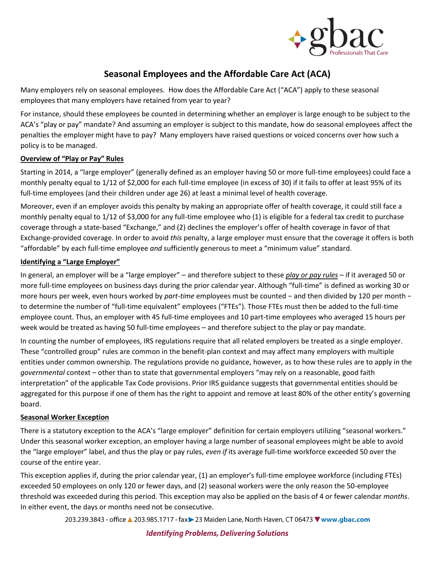

# **Seasonal Employees and the Affordable Care Act (ACA)**

Many employers rely on seasonal employees. How does the Affordable Care Act ("ACA") apply to these seasonal employees that many employers have retained from year to year?

For instance, should these employees be counted in determining whether an employer is large enough to be subject to the ACA's "play or pay" mandate? And assuming an employer is subject to this mandate, how do seasonal employees affect the penalties the employer might have to pay? Many employers have raised questions or voiced concerns over how such a policy is to be managed.

### **Overview of "Play or Pay" Rules**

Starting in 2014, a "large employer" (generally defined as an employer having 50 or more full-time employees) could face a monthly penalty equal to 1/12 of \$2,000 for each full-time employee (in excess of 30) if it fails to offer at least 95% of its full-time employees (and their children under age 26) at least a minimal level of health coverage.

Moreover, even if an employer avoids this penalty by making an appropriate offer of health coverage, it could still face a monthly penalty equal to 1/12 of \$3,000 for any full-time employee who (1) is eligible for a federal tax credit to purchase coverage through a state-based "Exchange," and (2) declines the employer's offer of health coverage in favor of that Exchange-provided coverage. In order to avoid *this* penalty, a large employer must ensure that the coverage it offers is both "affordable" by each full-time employee *and* sufficiently generous to meet a "minimum value" standard.

### **Identifying a "Large Employer"**

In general, an employer will be a "large employer" – and therefore subject to these *play or pay rules* – if it averaged 50 or more full-time employees on business days during the prior calendar year. Although "full-time" is defined as working 30 or more hours per week, even hours worked by *part-time* employees must be counted − and then divided by 120 per month − to determine the number of "full-time equivalent" employees ("FTEs"). Those FTEs must then be added to the full-time employee count. Thus, an employer with 45 full-time employees and 10 part-time employees who averaged 15 hours per week would be treated as having 50 full-time employees – and therefore subject to the play or pay mandate.

In counting the number of employees, IRS regulations require that all related employers be treated as a single employer. These "controlled group" rules are common in the benefit-plan context and may affect many employers with multiple entities under common ownership. The regulations provide no guidance, however, as to how these rules are to apply in the *governmental* context – other than to state that governmental employers "may rely on a reasonable, good faith interpretation" of the applicable Tax Code provisions. Prior IRS guidance suggests that governmental entities should be aggregated for this purpose if one of them has the right to appoint and remove at least 80% of the other entity's governing board.

# **Seasonal Worker Exception**

There is a statutory exception to the ACA's "large employer" definition for certain employers utilizing "seasonal workers." Under this seasonal worker exception, an employer having a large number of seasonal employees might be able to avoid the "large employer" label, and thus the play or pay rules, *even if* its average full-time workforce exceeded 50 over the course of the entire year.

This exception applies if, during the prior calendar year, (1) an employer's full-time employee workforce (including FTEs) exceeded 50 employees on only 120 or fewer days, and (2) seasonal workers were the only reason the 50-employee threshold was exceeded during this period. This exception may also be applied on the basis of 4 or fewer calendar *months*. In either event, the days or months need not be consecutive.

203.239.3843 - office ▲ 203.985.1717 - fax > 23 Maiden Lane, North Haven, CT 06473 V www.gbac.com

# **Identifying Problems, Delivering Solutions**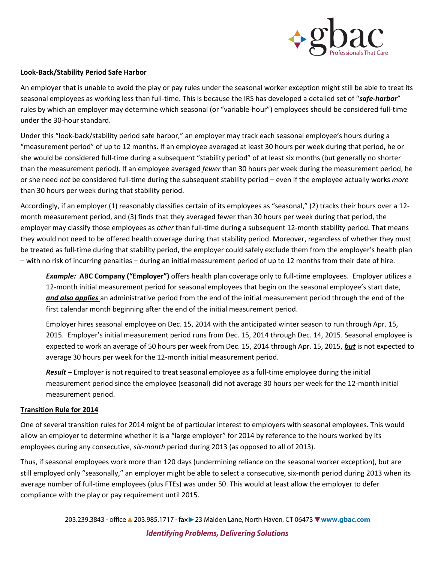

#### **Look-Back/Stability Period Safe Harbor**

An employer that is unable to avoid the play or pay rules under the seasonal worker exception might still be able to treat its seasonal employees as working less than full-time. This is because the IRS has developed a detailed set of "*safe-harbor*" rules by which an employer may determine which seasonal (or "variable-hour") employees should be considered full-time under the 30-hour standard.

Under this "look-back/stability period safe harbor," an employer may track each seasonal employee's hours during a "measurement period" of up to 12 months. If an employee averaged at least 30 hours per week during that period, he or she would be considered full-time during a subsequent "stability period" of at least six months (but generally no shorter than the measurement period). If an employee averaged *fewer* than 30 hours per week during the measurement period, he or she need *not* be considered full-time during the subsequent stability period – even if the employee actually works *more* than 30 hours per week during that stability period.

Accordingly, if an employer (1) reasonably classifies certain of its employees as "seasonal," (2) tracks their hours over a 12 month measurement period, and (3) finds that they averaged fewer than 30 hours per week during that period, the employer may classify those employees as *other* than full-time during a subsequent 12-month stability period. That means they would not need to be offered health coverage during that stability period. Moreover, regardless of whether they must be treated as full-time during that stability period, the employer could safely exclude them from the employer's health plan – with no risk of incurring penalties – during an initial measurement period of up to 12 months from their date of hire.

*Example:* **ABC Company ("Employer")** offers health plan coverage only to full-time employees. Employer utilizes a 12-month initial measurement period for seasonal employees that begin on the seasonal employee's start date, *and also applies* an administrative period from the end of the initial measurement period through the end of the first calendar month beginning after the end of the initial measurement period.

Employer hires seasonal employee on Dec. 15, 2014 with the anticipated winter season to run through Apr. 15, 2015. Employer's initial measurement period runs from Dec. 15, 2014 through Dec. 14, 2015. Seasonal employee is expected to work an average of 50 hours per week from Dec. 15, 2014 through Apr. 15, 2015, *but* is not expected to average 30 hours per week for the 12-month initial measurement period.

*Result* – Employer is not required to treat seasonal employee as a full-time employee during the initial measurement period since the employee (seasonal) did not average 30 hours per week for the 12-month initial measurement period.

#### **Transition Rule for 2014**

One of several transition rules for 2014 might be of particular interest to employers with seasonal employees. This would allow an employer to determine whether it is a "large employer" for 2014 by reference to the hours worked by its employees during any consecutive, *six-month* period during 2013 (as opposed to all of 2013).

Thus, if seasonal employees work more than 120 days (undermining reliance on the seasonal worker exception), but are still employed only "seasonally," an employer might be able to select a consecutive, six-month period during 2013 when its average number of full-time employees (plus FTEs) was under 50. This would at least allow the employer to defer compliance with the play or pay requirement until 2015.